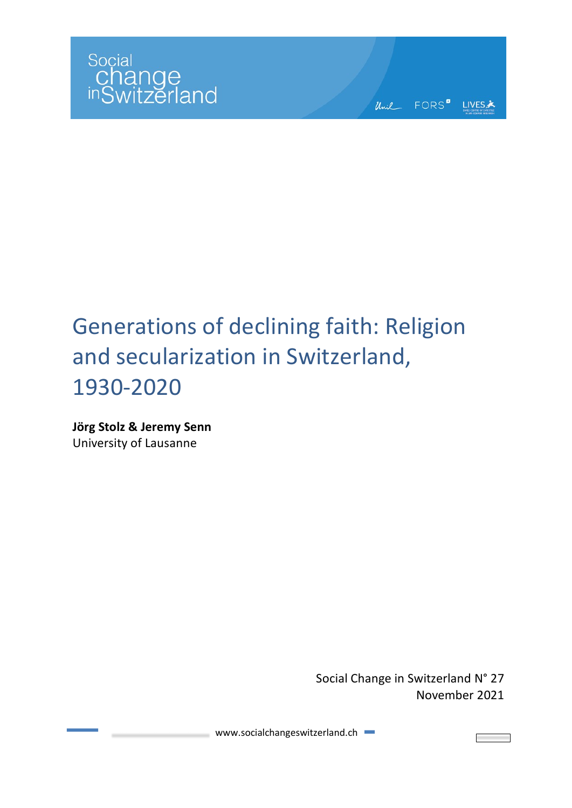

Unil FORS<sup>"</sup> LIVES\*

# Generations of declining faith: Religion and secularization in Switzerland, 1930-2020

**Jörg Stolz & Jeremy Senn** University of Lausanne

> Social Change in Switzerland N° 27 November 2021

www.socialchangeswitzerland.ch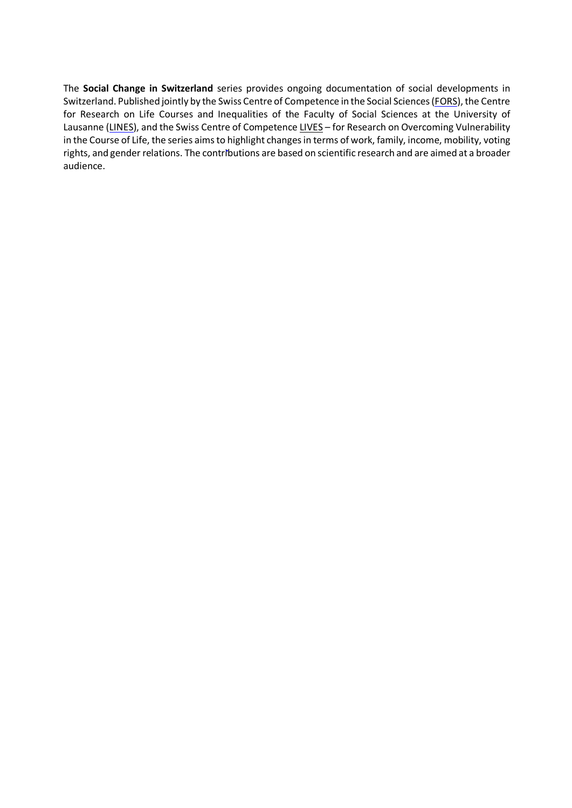The **Social Change in Switzerland** series provides ongoing documentation of social developments in Switzerland. Published jointly by the Swiss Centre of Competence in the Social Sciences (FORS), the Centre for Research on Life Courses and Inequalities of the Faculty of Social Sciences at the University of Lausanne (LINES), and the Swiss Centre of Competence LIVES - for Research on Overcoming Vulnerability in the Course of Life, the series aims to highlight changes in terms of work, family, income, mobility, voting rights, and gender relations. The contributions are based on scientific research and are aimed at a broader audience.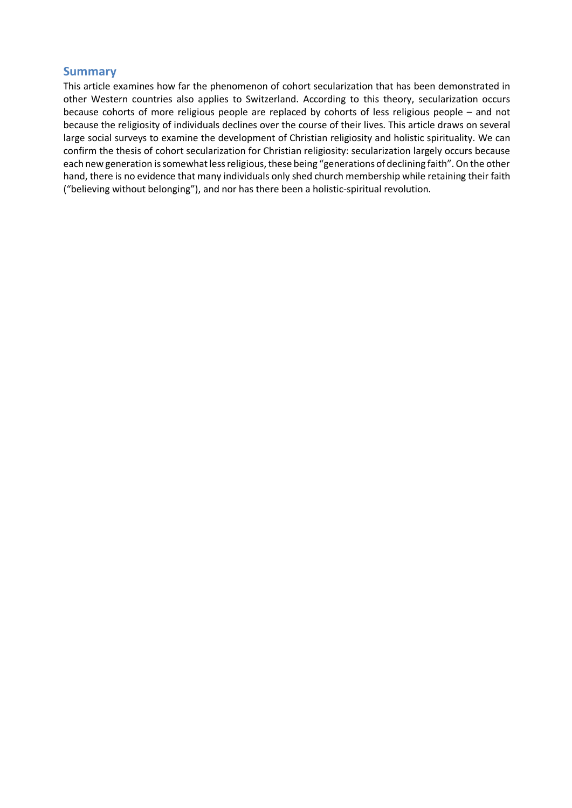#### **Summary**

This article examines how far the phenomenon of cohort secularization that has been demonstrated in other Western countries also applies to Switzerland. According to this theory, secularization occurs because cohorts of more religious people are replaced by cohorts of less religious people – and not because the religiosity of individuals declines over the course of their lives. This article draws on several large social surveys to examine the development of Christian religiosity and holistic spirituality. We can confirm the thesis of cohort secularization for Christian religiosity: secularization largely occurs because each new generation is somewhat less religious, these being "generations of declining faith". On the other hand, there is no evidence that many individuals only shed church membership while retaining their faith ("believing without belonging"), and nor has there been a holistic-spiritual revolution.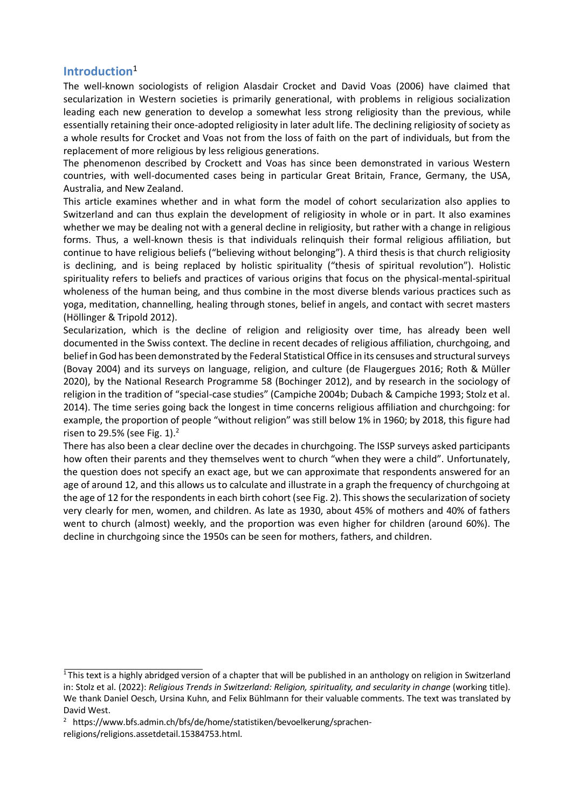# **Introduction**<sup>1</sup>

The well-known sociologists of religion Alasdair Crocket and David Voas (2006) have claimed that secularization in Western societies is primarily generational, with problems in religious socialization leading each new generation to develop a somewhat less strong religiosity than the previous, while essentially retaining their once-adopted religiosity in later adult life. The declining religiosity of society as a whole results for Crocket and Voas not from the loss of faith on the part of individuals, but from the replacement of more religious by less religious generations.

The phenomenon described by Crockett and Voas has since been demonstrated in various Western countries, with well-documented cases being in particular Great Britain, France, Germany, the USA, Australia, and New Zealand.

This article examines whether and in what form the model of cohort secularization also applies to Switzerland and can thus explain the development of religiosity in whole or in part. It also examines whether we may be dealing not with a general decline in religiosity, but rather with a change in religious forms. Thus, a well-known thesis is that individuals relinquish their formal religious affiliation, but continue to have religious beliefs ("believing without belonging"). A third thesis is that church religiosity is declining, and is being replaced by holistic spirituality ("thesis of spiritual revolution"). Holistic spirituality refers to beliefs and practices of various origins that focus on the physical-mental-spiritual wholeness of the human being, and thus combine in the most diverse blends various practices such as yoga, meditation, channelling, healing through stones, belief in angels, and contact with secret masters (Höllinger & Tripold 2012).

Secularization, which is the decline of religion and religiosity over time, has already been well documented in the Swiss context. The decline in recent decades of religious affiliation, churchgoing, and belief in God has been demonstrated by the Federal Statistical Office in its censuses and structural surveys (Bovay 2004) and its surveys on language, religion, and culture (de Flaugergues 2016; Roth & Müller 2020), by the National Research Programme 58 (Bochinger 2012), and by research in the sociology of religion in the tradition of "special-case studies" (Campiche 2004b; Dubach & Campiche 1993; Stolz et al. 2014). The time series going back the longest in time concerns religious affiliation and churchgoing: for example, the proportion of people "without religion" was still below 1% in 1960; by 2018, this figure had risen to 29.5% (see Fig. 1). $<sup>2</sup>$ </sup>

There has also been a clear decline over the decades in churchgoing. The ISSP surveys asked participants how often their parents and they themselves went to church "when they were a child". Unfortunately, the question does not specify an exact age, but we can approximate that respondents answered for an age of around 12, and this allows us to calculate and illustrate in a graph the frequency of churchgoing at the age of 12 for the respondents in each birth cohort (see Fig. 2). This shows the secularization of society very clearly for men, women, and children. As late as 1930, about 45% of mothers and 40% of fathers went to church (almost) weekly, and the proportion was even higher for children (around 60%). The decline in churchgoing since the 1950s can be seen for mothers, fathers, and children.

 $1$ This text is a highly abridged version of a chapter that will be published in an anthology on religion in Switzerland in: Stolz et al. (2022): *Religious Trends in Switzerland: Religion, spirituality, and secularity in change* (working title). We thank Daniel Oesch, Ursina Kuhn, and Felix Bühlmann for their valuable comments. The text was translated by David West.

<sup>&</sup>lt;sup>2</sup> https://www.bfs.admin.ch/bfs/de/home/statistiken/bevoelkerung/sprachen-

religions/religions.assetdetail.15384753.html.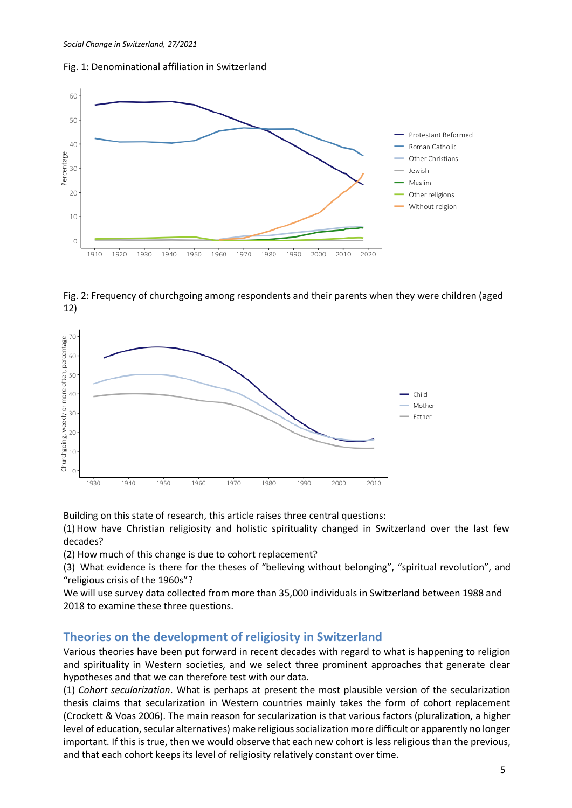



Fig. 2: Frequency of churchgoing among respondents and their parents when they were children (aged 12)



Building on this state of research, this article raises three central questions:

(1)How have Christian religiosity and holistic spirituality changed in Switzerland over the last few decades?

(2) How much of this change is due to cohort replacement?

(3) What evidence is there for the theses of "believing without belonging", "spiritual revolution", and "religious crisis of the 1960s"?

We will use survey data collected from more than 35,000 individuals in Switzerland between 1988 and 2018 to examine these three questions.

#### **Theories on the development of religiosity in Switzerland**

Various theories have been put forward in recent decades with regard to what is happening to religion and spirituality in Western societies, and we select three prominent approaches that generate clear hypotheses and that we can therefore test with our data.

(1) *Cohort secularization*. What is perhaps at present the most plausible version of the secularization thesis claims that secularization in Western countries mainly takes the form of cohort replacement (Crockett & Voas 2006). The main reason for secularization is that various factors (pluralization, a higher level of education, secular alternatives) make religious socialization more difficult or apparently no longer important. If this is true, then we would observe that each new cohort is less religious than the previous, and that each cohort keeps its level of religiosity relatively constant over time.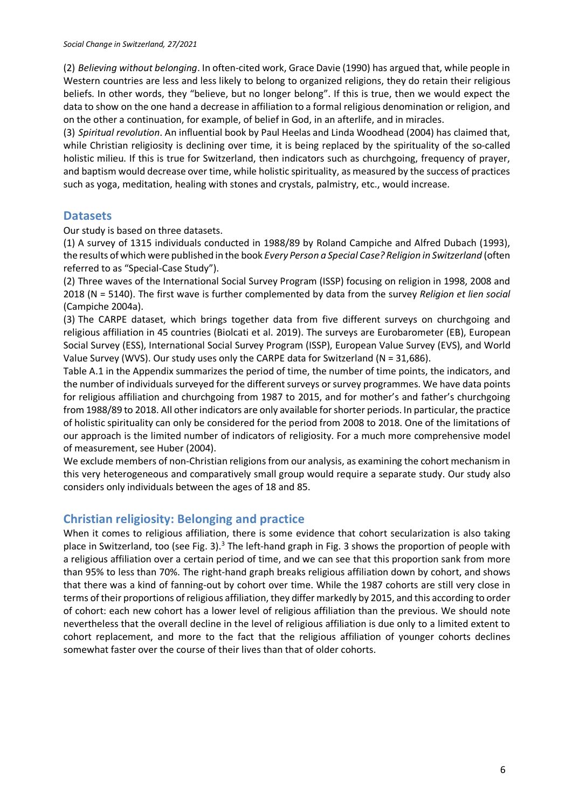(2) *Believing without belonging*. In often-cited work, Grace Davie (1990) has argued that, while people in Western countries are less and less likely to belong to organized religions, they do retain their religious beliefs. In other words, they "believe, but no longer belong". If this is true, then we would expect the data to show on the one hand a decrease in affiliation to a formal religious denomination or religion, and on the other a continuation, for example, of belief in God, in an afterlife, and in miracles.

(3) *Spiritual revolution*. An influential book by Paul Heelas and Linda Woodhead (2004) has claimed that, while Christian religiosity is declining over time, it is being replaced by the spirituality of the so-called holistic milieu. If this is true for Switzerland, then indicators such as churchgoing, frequency of prayer, and baptism would decrease over time, while holistic spirituality, as measured by the success of practices such as yoga, meditation, healing with stones and crystals, palmistry, etc., would increase.

#### **Datasets**

Our study is based on three datasets.

(1) A survey of 1315 individuals conducted in 1988/89 by Roland Campiche and Alfred Dubach (1993), the results of which were published in the book *Every Person a Special Case? Religion in Switzerland* (often referred to as "Special-Case Study").

(2) Three waves of the International Social Survey Program (ISSP) focusing on religion in 1998, 2008 and 2018 (N = 5140). The first wave is further complemented by data from the survey *Religion et lien social* (Campiche 2004a).

(3) The CARPE dataset, which brings together data from five different surveys on churchgoing and religious affiliation in 45 countries (Biolcati et al. 2019). The surveys are Eurobarometer (EB), European Social Survey (ESS), International Social Survey Program (ISSP), European Value Survey (EVS), and World Value Survey (WVS). Our study uses only the CARPE data for Switzerland (N = 31,686).

Table A.1 in the Appendix summarizes the period of time, the number of time points, the indicators, and the number of individuals surveyed for the different surveys or survey programmes. We have data points for religious affiliation and churchgoing from 1987 to 2015, and for mother's and father's churchgoing from 1988/89 to 2018. All other indicators are only available for shorter periods. In particular, the practice of holistic spirituality can only be considered for the period from 2008 to 2018. One of the limitations of our approach is the limited number of indicators of religiosity. For a much more comprehensive model of measurement, see Huber (2004).

We exclude members of non-Christian religions from our analysis, as examining the cohort mechanism in this very heterogeneous and comparatively small group would require a separate study. Our study also considers only individuals between the ages of 18 and 85.

# **Christian religiosity: Belonging and practice**

When it comes to religious affiliation, there is some evidence that cohort secularization is also taking place in Switzerland, too (see Fig. 3).<sup>3</sup> The left-hand graph in Fig. 3 shows the proportion of people with a religious affiliation over a certain period of time, and we can see that this proportion sank from more than 95% to less than 70%. The right-hand graph breaks religious affiliation down by cohort, and shows that there was a kind of fanning-out by cohort over time. While the 1987 cohorts are still very close in terms of their proportions of religious affiliation, they differ markedly by 2015, and this according to order of cohort: each new cohort has a lower level of religious affiliation than the previous. We should note nevertheless that the overall decline in the level of religious affiliation is due only to a limited extent to cohort replacement, and more to the fact that the religious affiliation of younger cohorts declines somewhat faster over the course of their lives than that of older cohorts.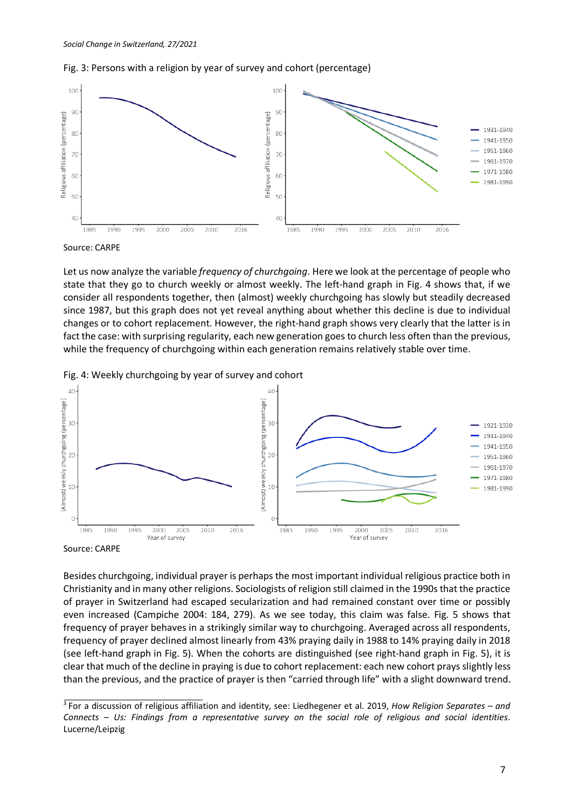



Source: CARPE

Let us now analyze the variable *frequency of churchgoing*. Here we look at the percentage of people who state that they go to church weekly or almost weekly. The left-hand graph in Fig. 4 shows that, if we consider all respondents together, then (almost) weekly churchgoing has slowly but steadily decreased since 1987, but this graph does not yet reveal anything about whether this decline is due to individual changes or to cohort replacement. However, the right-hand graph shows very clearly that the latter is in fact the case: with surprising regularity, each new generation goes to church less often than the previous, while the frequency of churchgoing within each generation remains relatively stable over time.





Source: CARPE

Besides churchgoing, individual prayer is perhaps the most important individual religious practice both in Christianity and in many other religions. Sociologists of religion still claimed in the 1990s that the practice of prayer in Switzerland had escaped secularization and had remained constant over time or possibly even increased (Campiche 2004: 184, 279). As we see today, this claim was false. Fig. 5 shows that frequency of prayer behaves in a strikingly similar way to churchgoing. Averaged across all respondents, frequency of prayer declined almost linearly from 43% praying daily in 1988 to 14% praying daily in 2018 (see left-hand graph in Fig. 5). When the cohorts are distinguished (see right-hand graph in Fig. 5), it is clear that much of the decline in praying is due to cohort replacement: each new cohort prays slightly less than the previous, and the practice of prayer is then "carried through life" with a slight downward trend.

<sup>3</sup> For a discussion of religious affiliation and identity, see: Liedhegener et al. 2019, *How Religion Separates – and Connects – Us: Findings from a representative survey on the social role of religious and social identities*. Lucerne/Leipzig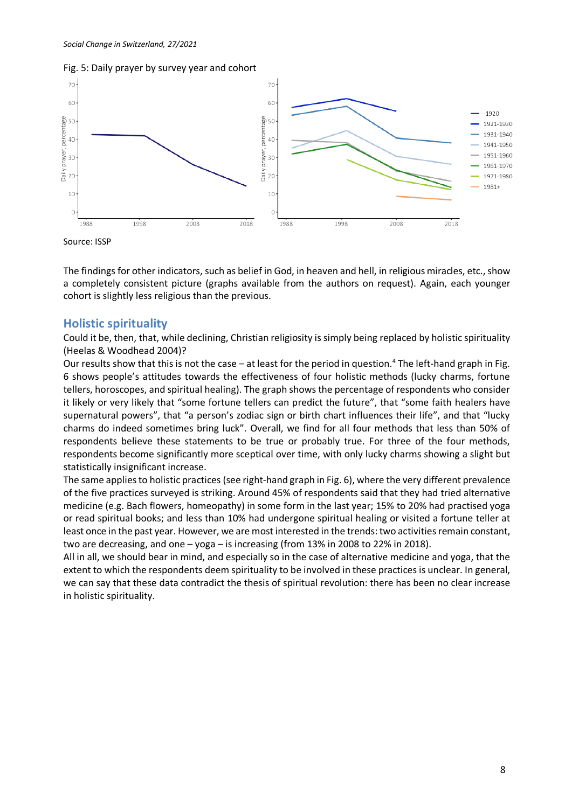



Source: ISSP

The findings for other indicators, such as belief in God, in heaven and hell, in religious miracles, etc., show a completely consistent picture (graphs available from the authors on request). Again, each younger cohort is slightly less religious than the previous.

#### **Holistic spirituality**

Could it be, then, that, while declining, Christian religiosity is simply being replaced by holistic spirituality (Heelas & Woodhead 2004)?

Our results show that this is not the case - at least for the period in question.<sup>4</sup> The left-hand graph in Fig. 6 shows people's attitudes towards the effectiveness of four holistic methods (lucky charms, fortune tellers, horoscopes, and spiritual healing). The graph shows the percentage of respondents who consider it likely or very likely that "some fortune tellers can predict the future", that "some faith healers have supernatural powers", that "a person's zodiac sign or birth chart influences their life", and that "lucky charms do indeed sometimes bring luck". Overall, we find for all four methods that less than 50% of respondents believe these statements to be true or probably true. For three of the four methods, respondents become significantly more sceptical over time, with only lucky charms showing a slight but statistically insignificant increase.

The same applies to holistic practices (see right-hand graph in Fig. 6), where the very different prevalence of the five practices surveyed is striking. Around 45% of respondents said that they had tried alternative medicine (e.g. Bach flowers, homeopathy) in some form in the last year; 15% to 20% had practised yoga or read spiritual books; and less than 10% had undergone spiritual healing or visited a fortune teller at least once in the past year. However, we are most interested in the trends: two activities remain constant, two are decreasing, and one – yoga – is increasing (from 13% in 2008 to 22% in 2018).

All in all, we should bear in mind, and especially so in the case of alternative medicine and yoga, that the extent to which the respondents deem spirituality to be involved in these practices is unclear. In general, we can say that these data contradict the thesis of spiritual revolution: there has been no clear increase in holistic spirituality.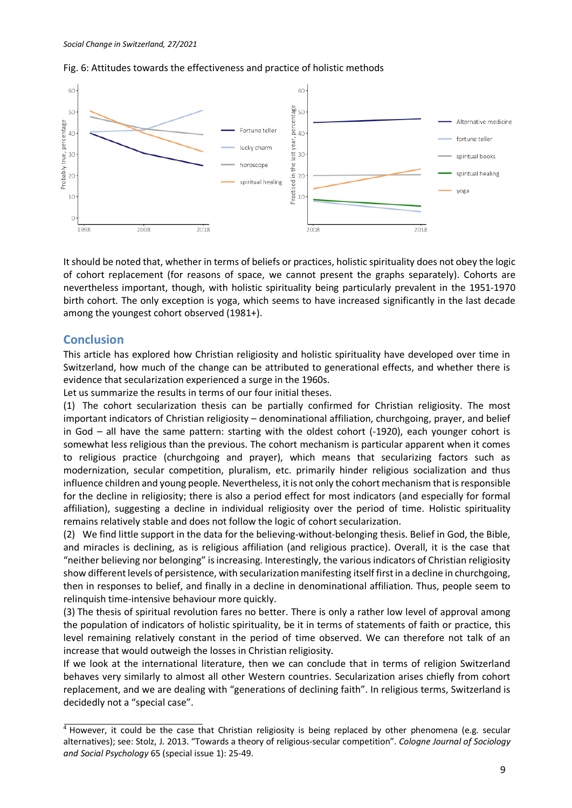



It should be noted that, whether in terms of beliefs or practices, holistic spirituality does not obey the logic of cohort replacement (for reasons of space, we cannot present the graphs separately). Cohorts are nevertheless important, though, with holistic spirituality being particularly prevalent in the 1951-1970 birth cohort. The only exception is yoga, which seems to have increased significantly in the last decade among the youngest cohort observed (1981+).

# **Conclusion**

This article has explored how Christian religiosity and holistic spirituality have developed over time in Switzerland, how much of the change can be attributed to generational effects, and whether there is evidence that secularization experienced a surge in the 1960s.

Let us summarize the results in terms of our four initial theses.

(1) The cohort secularization thesis can be partially confirmed for Christian religiosity. The most important indicators of Christian religiosity – denominational affiliation, churchgoing, prayer, and belief in God – all have the same pattern: starting with the oldest cohort (-1920), each younger cohort is somewhat less religious than the previous. The cohort mechanism is particular apparent when it comes to religious practice (churchgoing and prayer), which means that secularizing factors such as modernization, secular competition, pluralism, etc. primarily hinder religious socialization and thus influence children and young people. Nevertheless, it is not only the cohort mechanism that is responsible for the decline in religiosity; there is also a period effect for most indicators (and especially for formal affiliation), suggesting a decline in individual religiosity over the period of time. Holistic spirituality remains relatively stable and does not follow the logic of cohort secularization.

(2) We find little support in the data for the believing-without-belonging thesis. Belief in God, the Bible, and miracles is declining, as is religious affiliation (and religious practice). Overall, it is the case that "neither believing nor belonging" is increasing. Interestingly, the various indicators of Christian religiosity show different levels of persistence, with secularization manifesting itself first in a decline in churchgoing, then in responses to belief, and finally in a decline in denominational affiliation. Thus, people seem to relinquish time-intensive behaviour more quickly.

(3) The thesis of spiritual revolution fares no better. There is only a rather low level of approval among the population of indicators of holistic spirituality, be it in terms of statements of faith or practice, this level remaining relatively constant in the period of time observed. We can therefore not talk of an increase that would outweigh the losses in Christian religiosity.

If we look at the international literature, then we can conclude that in terms of religion Switzerland behaves very similarly to almost all other Western countries. Secularization arises chiefly from cohort replacement, and we are dealing with "generations of declining faith". In religious terms, Switzerland is decidedly not a "special case".

 $4$  However, it could be the case that Christian religiosity is being replaced by other phenomena (e.g. secular alternatives); see: Stolz, J. 2013. "Towards a theory of religious-secular competition". *Cologne Journal of Sociology and Social Psychology* 65 (special issue 1): 25-49.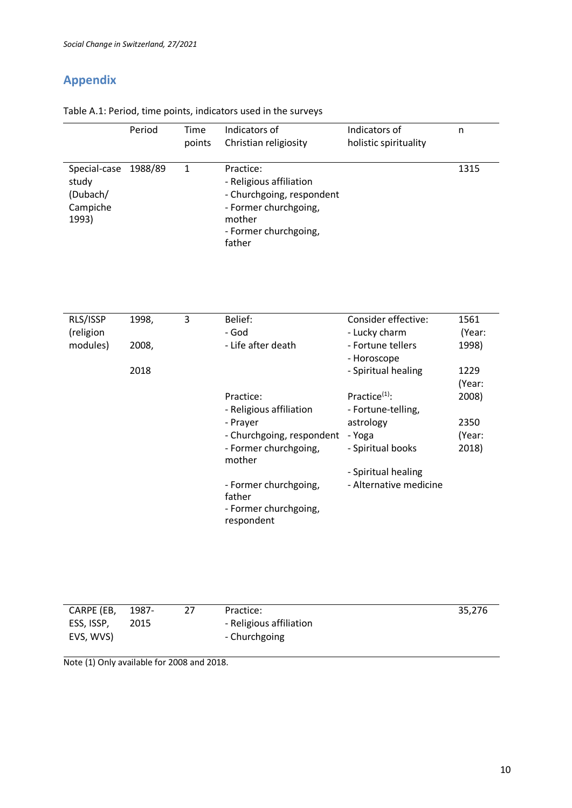# **Appendix**

| Table A.1: Period, time points, indicators used in the surveys |  |  |  |  |
|----------------------------------------------------------------|--|--|--|--|
|----------------------------------------------------------------|--|--|--|--|

|                                                                | Period | Time<br>points | Indicators of<br>Christian religiosity                                                                                                  | Indicators of<br>holistic spirituality | n    |
|----------------------------------------------------------------|--------|----------------|-----------------------------------------------------------------------------------------------------------------------------------------|----------------------------------------|------|
| Special-case 1988/89<br>study<br>(Dubach/<br>Campiche<br>1993) |        |                | Practice:<br>- Religious affiliation<br>- Churchgoing, respondent<br>- Former churchgoing,<br>mother<br>- Former churchgoing,<br>father |                                        | 1315 |

| RLS/ISSP  | 1998, | 3 | Belief:                   | Consider effective:    | 1561   |
|-----------|-------|---|---------------------------|------------------------|--------|
| (religion |       |   | - God                     | - Lucky charm          | (Year: |
| modules)  | 2008, |   | - Life after death        | - Fortune tellers      | 1998)  |
|           |       |   |                           | - Horoscope            |        |
|           | 2018  |   |                           | - Spiritual healing    | 1229   |
|           |       |   |                           |                        | (Year: |
|           |       |   | Practice:                 | Practice $(1)$ :       | 2008)  |
|           |       |   | - Religious affiliation   | - Fortune-telling,     |        |
|           |       |   | - Prayer                  | astrology              | 2350   |
|           |       |   | - Churchgoing, respondent | - Yoga                 | (Year: |
|           |       |   | - Former churchgoing,     | - Spiritual books      | 2018)  |
|           |       |   | mother                    |                        |        |
|           |       |   |                           | - Spiritual healing    |        |
|           |       |   | - Former churchgoing,     | - Alternative medicine |        |
|           |       |   | father                    |                        |        |
|           |       |   | - Former churchgoing,     |                        |        |
|           |       |   | respondent                |                        |        |

| Practice:               | 35,276 |
|-------------------------|--------|
| - Religious affiliation |        |
| - Churchgoing           |        |
| 1987-<br>2015           |        |

Note (1) Only available for 2008 and 2018.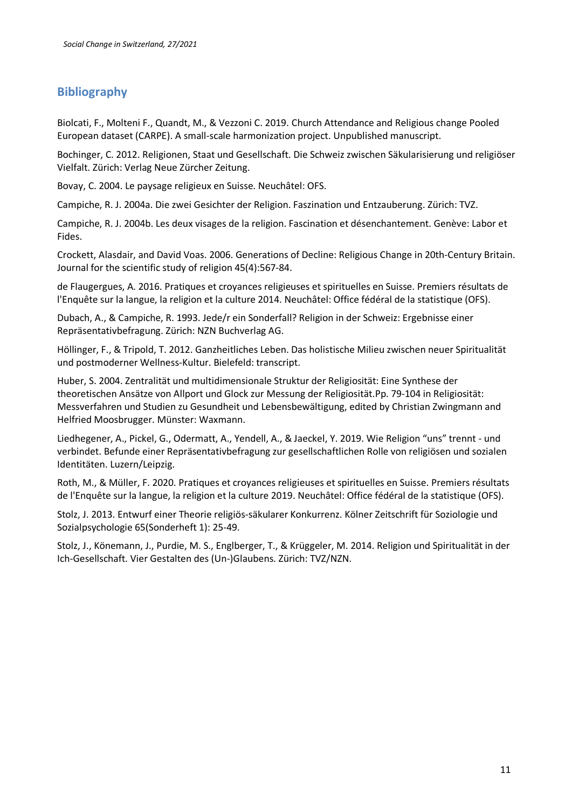# **Bibliography**

Biolcati, F., Molteni F., Quandt, M., & Vezzoni C. 2019. Church Attendance and Religious change Pooled European dataset (CARPE). A small-scale harmonization project. Unpublished manuscript.

Bochinger, C. 2012. Religionen, Staat und Gesellschaft. Die Schweiz zwischen Säkularisierung und religiöser Vielfalt. Zürich: Verlag Neue Zürcher Zeitung.

Bovay, C. 2004. Le paysage religieux en Suisse. Neuchâtel: OFS.

Campiche, R. J. 2004a. Die zwei Gesichter der Religion. Faszination und Entzauberung. Zürich: TVZ.

Campiche, R. J. 2004b. Les deux visages de la religion. Fascination et désenchantement. Genève: Labor et Fides.

Crockett, Alasdair, and David Voas. 2006. Generations of Decline: Religious Change in 20th-Century Britain. Journal for the scientific study of religion 45(4):567-84.

de Flaugergues, A. 2016. Pratiques et croyances religieuses et spirituelles en Suisse. Premiers résultats de l'Enquête sur la langue, la religion et la culture 2014. Neuchâtel: Office fédéral de la statistique (OFS).

Dubach, A., & Campiche, R. 1993. Jede/r ein Sonderfall? Religion in der Schweiz: Ergebnisse einer Repräsentativbefragung. Zürich: NZN Buchverlag AG.

Höllinger, F., & Tripold, T. 2012. Ganzheitliches Leben. Das holistische Milieu zwischen neuer Spiritualität und postmoderner Wellness-Kultur. Bielefeld: transcript.

Huber, S. 2004. Zentralität und multidimensionale Struktur der Religiosität: Eine Synthese der theoretischen Ansätze von Allport und Glock zur Messung der Religiosität.Pp. 79-104 in Religiosität: Messverfahren und Studien zu Gesundheit und Lebensbewältigung, edited by Christian Zwingmann and Helfried Moosbrugger. Münster: Waxmann.

Liedhegener, A., Pickel, G., Odermatt, A., Yendell, A., & Jaeckel, Y. 2019. Wie Religion "uns" trennt - und verbindet. Befunde einer Repräsentativbefragung zur gesellschaftlichen Rolle von religiösen und sozialen Identitäten. Luzern/Leipzig.

Roth, M., & Müller, F. 2020. Pratiques et croyances religieuses et spirituelles en Suisse. Premiers résultats de l'Enquête sur la langue, la religion et la culture 2019. Neuchâtel: Office fédéral de la statistique (OFS).

Stolz, J. 2013. Entwurf einer Theorie religiös-säkularer Konkurrenz. Kölner Zeitschrift für Soziologie und Sozialpsychologie 65(Sonderheft 1): 25-49.

Stolz, J., Könemann, J., Purdie, M. S., Englberger, T., & Krüggeler, M. 2014. Religion und Spiritualität in der Ich-Gesellschaft. Vier Gestalten des (Un-)Glaubens. Zürich: TVZ/NZN.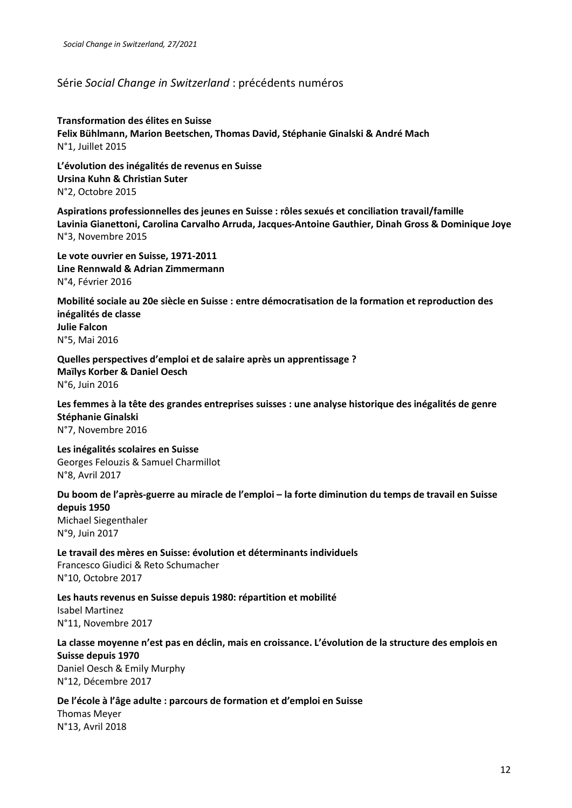#### Série *Social Change in Switzerland* : précédents numéros

**Transformation des élites en Suisse Felix Bühlmann, Marion Beetschen, Thomas David, Stéphanie Ginalski & André Mach** N°1, Juillet 2015

**L'évolution des inégalités de revenus en Suisse Ursina Kuhn & Christian Suter** N°2, Octobre 2015

**Aspirations professionnelles des jeunes en Suisse : rôles sexués et conciliation travail/famille Lavinia Gianettoni, Carolina Carvalho Arruda, Jacques-Antoine Gauthier, Dinah Gross & Dominique Joye** N°3, Novembre 2015

**Le vote ouvrier en Suisse, 1971-2011 Line Rennwald & Adrian Zimmermann** N°4, Février 2016

**Mobilité sociale au 20e siècle en Suisse : entre démocratisation de la formation et reproduction des inégalités de classe Julie Falcon** N°5, Mai 2016

**Quelles perspectives d'emploi et de salaire après un apprentissage ? Maïlys Korber & Daniel Oesch**  N°6, Juin 2016

**Les femmes à la tête des grandes entreprises suisses : une analyse historique des inégalités de genre Stéphanie Ginalski**  N°7, Novembre 2016

**Les inégalités scolaires en Suisse** Georges Felouzis & Samuel Charmillot N°8, Avril 2017

**Du boom de l'après-guerre au miracle de l'emploi – la forte diminution du temps de travail en Suisse depuis 1950** Michael Siegenthaler N°9, Juin 2017

**Le travail des mères en Suisse: évolution et déterminants individuels** Francesco Giudici & Reto Schumacher N°10, Octobre 2017

**Les hauts revenus en Suisse depuis 1980: répartition et mobilité** Isabel Martinez N°11, Novembre 2017

#### **La classe moyenne n'est pas en déclin, mais en croissance. L'évolution de la structure des emplois en Suisse depuis 1970**

Daniel Oesch & Emily Murphy N°12, Décembre 2017

**De l'école à l'âge adulte : parcours de formation et d'emploi en Suisse** Thomas Meyer N°13, Avril 2018